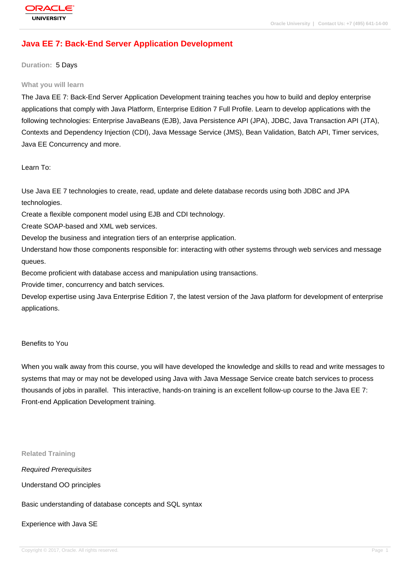# **[Java EE 7: Bac](http://education.oracle.com/pls/web_prod-plq-dad/db_pages.getpage?page_id=3)k-End Server Application Development**

**Duration:** 5 Days

#### **What you will learn**

The Java EE 7: Back-End Server Application Development training teaches you how to build and deploy enterprise applications that comply with Java Platform, Enterprise Edition 7 Full Profile. Learn to develop applications with the following technologies: Enterprise JavaBeans (EJB), Java Persistence API (JPA), JDBC, Java Transaction API (JTA), Contexts and Dependency Injection (CDI), Java Message Service (JMS), Bean Validation, Batch API, Timer services, Java EE Concurrency and more.

Learn To:

Use Java EE 7 technologies to create, read, update and delete database records using both JDBC and JPA technologies.

Create a flexible component model using EJB and CDI technology.

Create SOAP-based and XML web services.

Develop the business and integration tiers of an enterprise application.

Understand how those components responsible for: interacting with other systems through web services and message queues.

Become proficient with database access and manipulation using transactions.

Provide timer, concurrency and batch services.

Develop expertise using Java Enterprise Edition 7, the latest version of the Java platform for development of enterprise applications.

#### Benefits to You

When you walk away from this course, you will have developed the knowledge and skills to read and write messages to systems that may or may not be developed using Java with Java Message Service create batch services to process thousands of jobs in parallel. This interactive, hands-on training is an excellent follow-up course to the Java EE 7: Front-end Application Development training.

**Related Training**

Required Prerequisites

Understand OO principles

Basic understanding of database concepts and SQL syntax

Experience with Java SE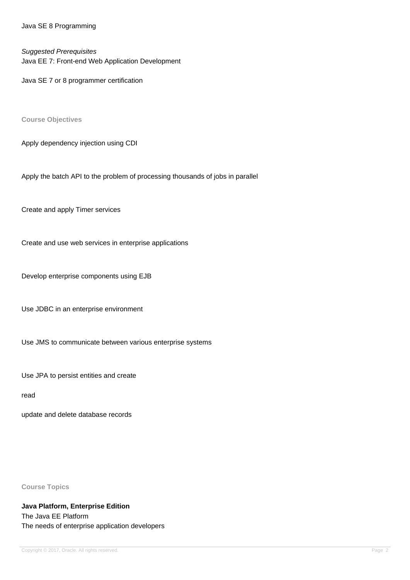Java SE 8 Programming

Suggested Prerequisites

Java EE 7: Front-end Web Application Development

Java SE 7 or 8 programmer certification

**Course Objectives**

Apply dependency injection using CDI

Apply the batch API to the problem of processing thousands of jobs in parallel

Create and apply Timer services

Create and use web services in enterprise applications

Develop enterprise components using EJB

Use JDBC in an enterprise environment

Use JMS to communicate between various enterprise systems

Use JPA to persist entities and create

read

update and delete database records

**Course Topics**

**Java Platform, Enterprise Edition** The Java EE Platform The needs of enterprise application developers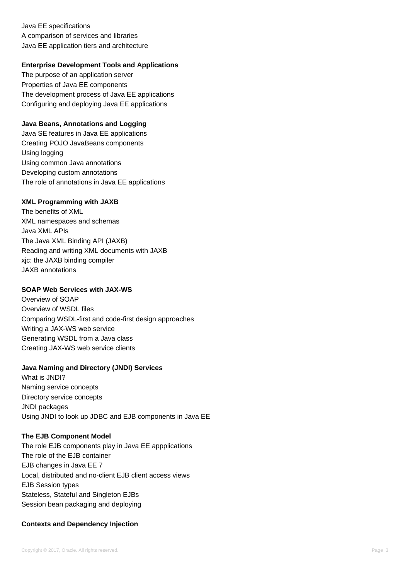Java EE specifications A comparison of services and libraries Java EE application tiers and architecture

## **Enterprise Development Tools and Applications**

The purpose of an application server Properties of Java EE components The development process of Java EE applications Configuring and deploying Java EE applications

## **Java Beans, Annotations and Logging**

Java SE features in Java EE applications Creating POJO JavaBeans components Using logging Using common Java annotations Developing custom annotations The role of annotations in Java EE applications

## **XML Programming with JAXB**

The benefits of XML XML namespaces and schemas Java XML APIs The Java XML Binding API (JAXB) Reading and writing XML documents with JAXB xjc: the JAXB binding compiler JAXB annotations

## **SOAP Web Services with JAX-WS**

Overview of SOAP Overview of WSDL files Comparing WSDL-first and code-first design approaches Writing a JAX-WS web service Generating WSDL from a Java class Creating JAX-WS web service clients

# **Java Naming and Directory (JNDI) Services**

What is JNDI? Naming service concepts Directory service concepts JNDI packages Using JNDI to look up JDBC and EJB components in Java EE

### **The EJB Component Model**

The role EJB components play in Java EE appplications The role of the EJB container EJB changes in Java EE 7 Local, distributed and no-client EJB client access views EJB Session types Stateless, Stateful and Singleton EJBs Session bean packaging and deploying

# **Contexts and Dependency Injection**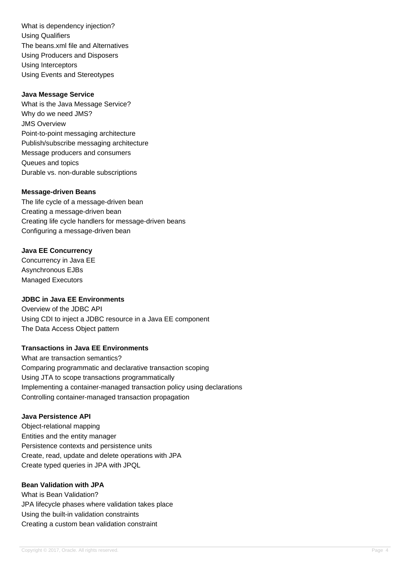What is dependency injection? Using Qualifiers The beans.xml file and Alternatives Using Producers and Disposers Using Interceptors Using Events and Stereotypes

## **Java Message Service**

What is the Java Message Service? Why do we need JMS? JMS Overview Point-to-point messaging architecture Publish/subscribe messaging architecture Message producers and consumers Queues and topics Durable vs. non-durable subscriptions

#### **Message-driven Beans**

The life cycle of a message-driven bean Creating a message-driven bean Creating life cycle handlers for message-driven beans Configuring a message-driven bean

### **Java EE Concurrency**

Concurrency in Java EE Asynchronous EJBs Managed Executors

## **JDBC in Java EE Environments**

Overview of the JDBC API Using CDI to inject a JDBC resource in a Java EE component The Data Access Object pattern

## **Transactions in Java EE Environments**

What are transaction semantics? Comparing programmatic and declarative transaction scoping Using JTA to scope transactions programmatically Implementing a container-managed transaction policy using declarations Controlling container-managed transaction propagation

## **Java Persistence API**

Object-relational mapping Entities and the entity manager Persistence contexts and persistence units Create, read, update and delete operations with JPA Create typed queries in JPA with JPQL

#### **Bean Validation with JPA**

What is Bean Validation? JPA lifecycle phases where validation takes place Using the built-in validation constraints Creating a custom bean validation constraint